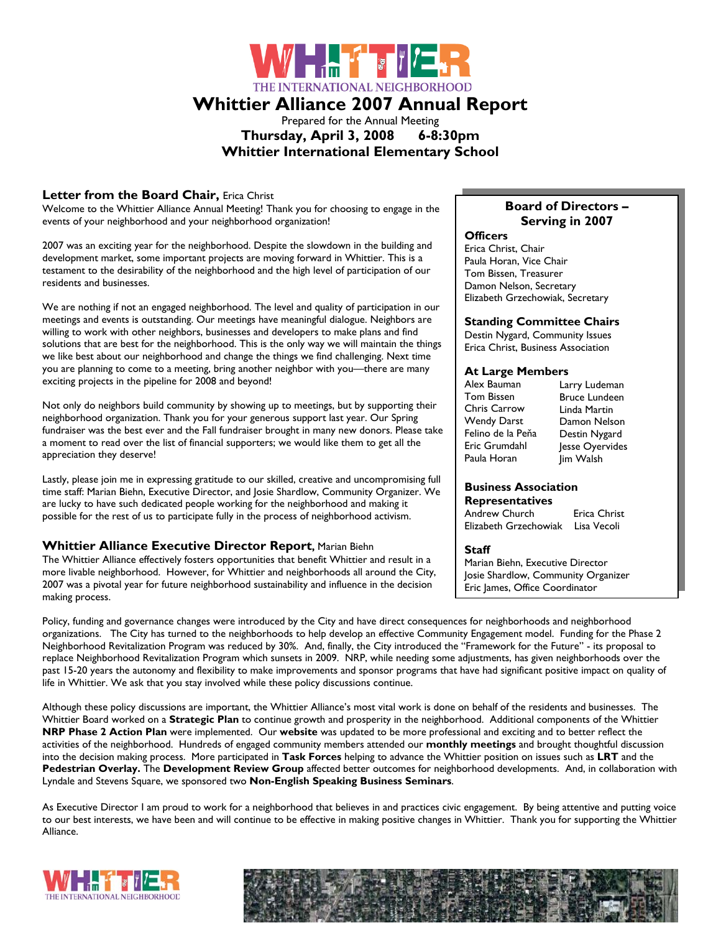

# **Whittier Alliance 2007 Annual Report**

Prepared for the Annual Meeting **Thursday, April 3, 2008 6-8:30pm Whittier International Elementary School**

# **Letter from the Board Chair,** Erica Christ

Welcome to the Whittier Alliance Annual Meeting! Thank you for choosing to engage in the events of your neighborhood and your neighborhood organization!

2007 was an exciting year for the neighborhood. Despite the slowdown in the building and development market, some important projects are moving forward in Whittier. This is a testament to the desirability of the neighborhood and the high level of participation of our residents and businesses.

We are nothing if not an engaged neighborhood. The level and quality of participation in our meetings and events is outstanding. Our meetings have meaningful dialogue. Neighbors are willing to work with other neighbors, businesses and developers to make plans and find solutions that are best for the neighborhood. This is the only way we will maintain the things we like best about our neighborhood and change the things we find challenging. Next time you are planning to come to a meeting, bring another neighbor with you—there are many exciting projects in the pipeline for 2008 and beyond!

Not only do neighbors build community by showing up to meetings, but by supporting their neighborhood organization. Thank you for your generous support last year. Our Spring fundraiser was the best ever and the Fall fundraiser brought in many new donors. Please take a moment to read over the list of financial supporters; we would like them to get all the appreciation they deserve!

Lastly, please join me in expressing gratitude to our skilled, creative and uncompromising full time staff: Marian Biehn, Executive Director, and Josie Shardlow, Community Organizer. We are lucky to have such dedicated people working for the neighborhood and making it possible for the rest of us to participate fully in the process of neighborhood activism.

# **Whittier Alliance Executive Director Report,** Marian Biehn

The Whittier Alliance effectively fosters opportunities that benefit Whittier and result in a more livable neighborhood. However, for Whittier and neighborhoods all around the City, 2007 was a pivotal year for future neighborhood sustainability and influence in the decision making process.

# **Board of Directors – Serving in 2007**

**Officers** 

Erica Christ, Chair Paula Horan, Vice Chair Tom Bissen, Treasurer Damon Nelson, Secretary Elizabeth Grzechowiak, Secretary

## **Standing Committee Chairs**

Destin Nygard, Community Issues Erica Christ, Business Association

#### **At Large Members**

Alex Bauman Tom Bissen Chris Carrow Wendy Darst Felino de la Peňa Eric Grumdahl Paula Horan

Larry Ludeman Bruce Lundeen Linda Martin Damon Nelson Destin Nygard Jesse Oyervides Jim Walsh

#### **Business Association Representatives**

Andrew Church Erica Christ Elizabeth GrzechowiakLisa Vecoli

#### **Staff**

Marian Biehn, Executive Director Josie Shardlow, Community Organizer Eric James, Office Coordinator

Policy, funding and governance changes were introduced by the City and have direct consequences for neighborhoods and neighborhood organizations. The City has turned to the neighborhoods to help develop an effective Community Engagement model. Funding for the Phase 2 Neighborhood Revitalization Program was reduced by 30%. And, finally, the City introduced the "Framework for the Future" - its proposal to replace Neighborhood Revitalization Program which sunsets in 2009. NRP, while needing some adjustments, has given neighborhoods over the past 15-20 years the autonomy and flexibility to make improvements and sponsor programs that have had significant positive impact on quality of life in Whittier. We ask that you stay involved while these policy discussions continue.

Although these policy discussions are important, the Whittier Alliance's most vital work is done on behalf of the residents and businesses. The Whittier Board worked on a **Strategic Plan** to continue growth and prosperity in the neighborhood. Additional components of the Whittier **NRP Phase 2 Action Plan** were implemented. Our **website** was updated to be more professional and exciting and to better reflect the activities of the neighborhood. Hundreds of engaged community members attended our **monthly meetings** and brought thoughtful discussion into the decision making process. More participated in **Task Forces** helping to advance the Whittier position on issues such as **LRT** and the **Pedestrian Overlay.** The **Development Review Group** affected better outcomes for neighborhood developments. And, in collaboration with Lyndale and Stevens Square, we sponsored two **Non-English Speaking Business Seminars**.

As Executive Director I am proud to work for a neighborhood that believes in and practices civic engagement. By being attentive and putting voice to our best interests, we have been and will continue to be effective in making positive changes in Whittier. Thank you for supporting the Whittier Alliance.



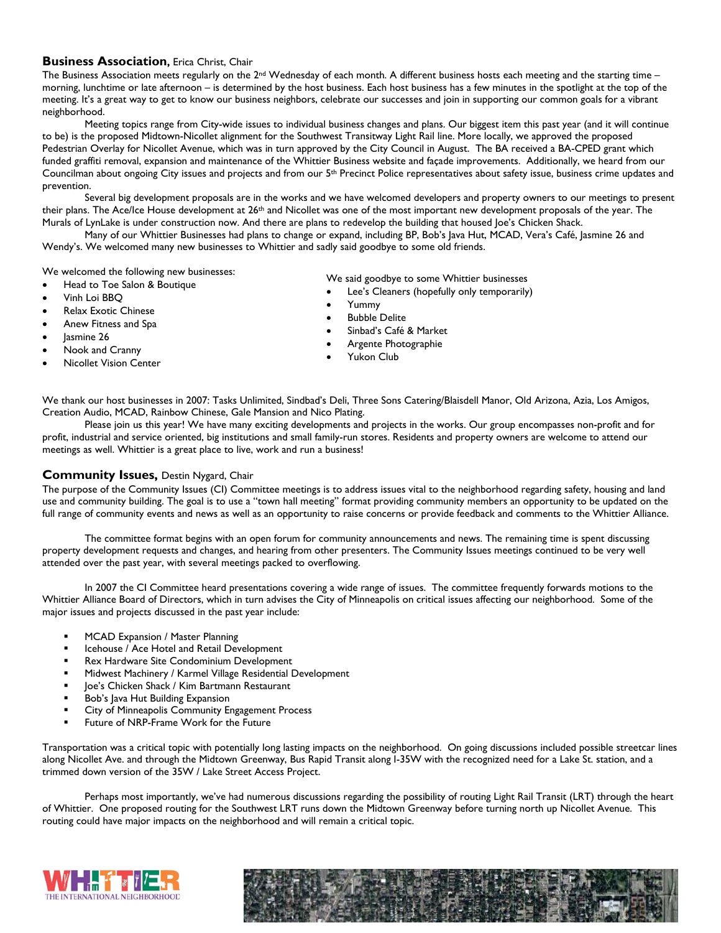# **Business Association,** Erica Christ, Chair

The Business Association meets regularly on the  $2^{nd}$  Wednesday of each month. A different business hosts each meeting and the starting time – morning, lunchtime or late afternoon – is determined by the host business. Each host business has a few minutes in the spotlight at the top of the meeting. It's a great way to get to know our business neighbors, celebrate our successes and join in supporting our common goals for a vibrant neighborhood.

Meeting topics range from City-wide issues to individual business changes and plans. Our biggest item this past year (and it will continue to be) is the proposed Midtown-Nicollet alignment for the Southwest Transitway Light Rail line. More locally, we approved the proposed Pedestrian Overlay for Nicollet Avenue, which was in turn approved by the City Council in August. The BA received a BA-CPED grant which funded graffiti removal, expansion and maintenance of the Whittier Business website and façade improvements. Additionally, we heard from our Councilman about ongoing City issues and projects and from our 5<sup>th</sup> Precinct Police representatives about safety issue, business crime updates and prevention.

Several big development proposals are in the works and we have welcomed developers and property owners to our meetings to present their plans. The Ace/Ice House development at  $26<sup>th</sup>$  and Nicollet was one of the most important new development proposals of the year. The Murals of LynLake is under construction now. And there are plans to redevelop the building that housed Joe's Chicken Shack.

Many of our Whittier Businesses had plans to change or expand, including BP, Bob's Java Hut, MCAD, Vera's Café, Jasmine 26 and Wendy's. We welcomed many new businesses to Whittier and sadly said goodbye to some old friends.

We welcomed the following new businesses:

- Head to Toe Salon & Boutique
- Vinh Loi BBQ
- Relax Exotic Chinese
- Anew Fitness and Spa
- Jasmine 26
- Nook and Cranny
- Nicollet Vision Center

We said goodbye to some Whittier businesses

- Lee's Cleaners (hopefully only temporarily)
- Yummy
- Bubble Delite
- Sinbad's Café & Market
- Argente Photographie
- Yukon Club

We thank our host businesses in 2007: Tasks Unlimited, Sindbad's Deli, Three Sons Catering/Blaisdell Manor, Old Arizona, Azia, Los Amigos, Creation Audio, MCAD, Rainbow Chinese, Gale Mansion and Nico Plating.

Please join us this year! We have many exciting developments and projects in the works. Our group encompasses non-profit and for profit, industrial and service oriented, big institutions and small family-run stores. Residents and property owners are welcome to attend our meetings as well. Whittier is a great place to live, work and run a business!

## **Community Issues,** Destin Nygard, Chair

The purpose of the Community Issues (CI) Committee meetings is to address issues vital to the neighborhood regarding safety, housing and land use and community building. The goal is to use a "town hall meeting" format providing community members an opportunity to be updated on the full range of community events and news as well as an opportunity to raise concerns or provide feedback and comments to the Whittier Alliance.

The committee format begins with an open forum for community announcements and news. The remaining time is spent discussing property development requests and changes, and hearing from other presenters. The Community Issues meetings continued to be very well attended over the past year, with several meetings packed to overflowing.

In 2007 the CI Committee heard presentations covering a wide range of issues. The committee frequently forwards motions to the Whittier Alliance Board of Directors, which in turn advises the City of Minneapolis on critical issues affecting our neighborhood. Some of the major issues and projects discussed in the past year include:

- MCAD Expansion / Master Planning
- Icehouse / Ace Hotel and Retail Development
- Rex Hardware Site Condominium Development
- Midwest Machinery / Karmel Village Residential Development
- Joe's Chicken Shack / Kim Bartmann Restaurant
- Bob's Java Hut Building Expansion
- City of Minneapolis Community Engagement Process
- Future of NRP-Frame Work for the Future

Transportation was a critical topic with potentially long lasting impacts on the neighborhood. On going discussions included possible streetcar lines along Nicollet Ave. and through the Midtown Greenway, Bus Rapid Transit along I-35W with the recognized need for a Lake St. station, and a trimmed down version of the 35W / Lake Street Access Project.

Perhaps most importantly, we've had numerous discussions regarding the possibility of routing Light Rail Transit (LRT) through the heart of Whittier. One proposed routing for the Southwest LRT runs down the Midtown Greenway before turning north up Nicollet Avenue. This routing could have major impacts on the neighborhood and will remain a critical topic.



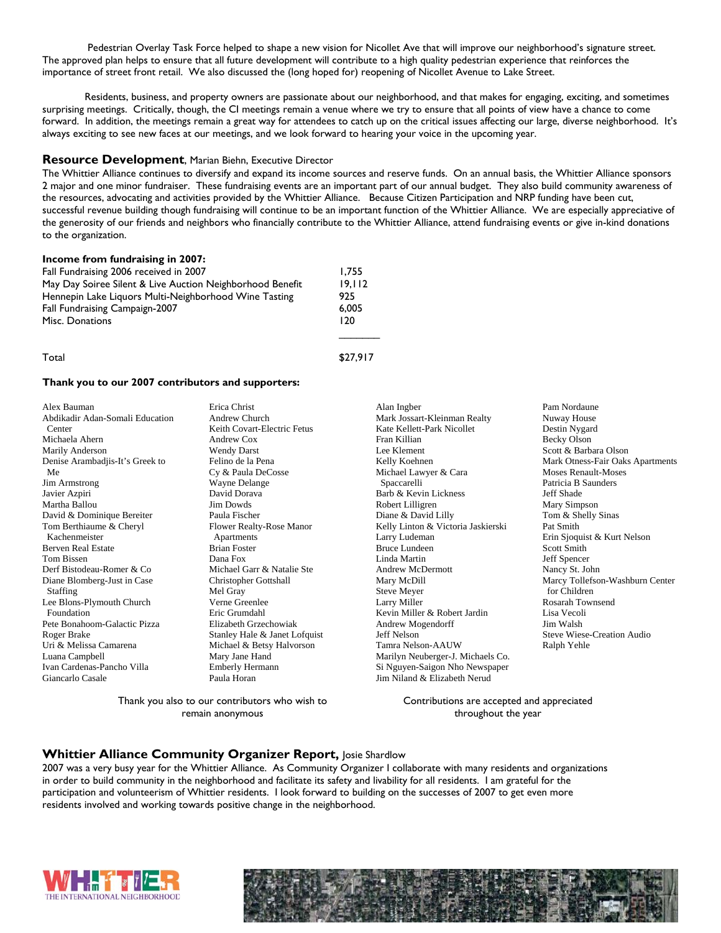Pedestrian Overlay Task Force helped to shape a new vision for Nicollet Ave that will improve our neighborhood's signature street. The approved plan helps to ensure that all future development will contribute to a high quality pedestrian experience that reinforces the importance of street front retail. We also discussed the (long hoped for) reopening of Nicollet Avenue to Lake Street.

Residents, business, and property owners are passionate about our neighborhood, and that makes for engaging, exciting, and sometimes surprising meetings. Critically, though, the CI meetings remain a venue where we try to ensure that all points of view have a chance to come forward. In addition, the meetings remain a great way for attendees to catch up on the critical issues affecting our large, diverse neighborhood. It's always exciting to see new faces at our meetings, and we look forward to hearing your voice in the upcoming year.

#### **Resource Development**, Marian Biehn, Executive Director

The Whittier Alliance continues to diversify and expand its income sources and reserve funds. On an annual basis, the Whittier Alliance sponsors 2 major and one minor fundraiser. These fundraising events are an important part of our annual budget. They also build community awareness of the resources, advocating and activities provided by the Whittier Alliance. Because Citizen Participation and NRP funding have been cut, successful revenue building though fundraising will continue to be an important function of the Whittier Alliance. We are especially appreciative of the generosity of our friends and neighbors who financially contribute to the Whittier Alliance, attend fundraising events or give in-kind donations to the organization.

#### **Income from fundraising in 2007:**

| Fall Fundraising 2006 received in 2007                    | 1.755  |
|-----------------------------------------------------------|--------|
| May Day Soiree Silent & Live Auction Neighborhood Benefit | 19.112 |
| Hennepin Lake Liquors Multi-Neighborhood Wine Tasting     | 925    |
| <b>Fall Fundraising Campaign-2007</b>                     | 6.005  |
| Misc. Donations                                           | 120    |
|                                                           |        |

Total \$27,917

Alan Ingber

#### **Thank you to our 2007 contributors and supporters:**

| Alex Bauman                     |
|---------------------------------|
| Abdikadir Adan-Somali Education |
| Center                          |
| Michaela Ahern                  |
| Marily Anderson                 |
| Denise Arambadjis-It's Greek to |
| Me.                             |
| <b>Jim Armstrong</b>            |
| Javier Azpiri                   |
| Martha Ballou                   |
| David & Dominique Bereiter      |
| Tom Berthiaume & Cheryl         |
| Kachenmeister                   |
| <b>Berven Real Estate</b>       |
| <b>Tom Bissen</b>               |
| Derf Bistodeau-Romer & Co       |
| Diane Blomberg-Just in Case     |
| Staffing                        |
| Lee Blons-Plymouth Church       |
| Foundation                      |
| Pete Bonahoom-Galactic Pizza    |
| Roger Brake                     |
| Uri & Melissa Camarena          |
| Luana Campbell                  |
| Ivan Cardenas-Pancho Villa      |
| Giancarlo Casale                |
|                                 |

Erica Christ Andrew Church Keith Covart-Electric Fetus Andrew Cox Wendy Darst Felino de la Pena Cy & Paula DeCosse Wayne Delange David Dorava Jim Dowds Paula Fischer Flower Realty-Rose Manor Apartments Brian Foster Dana Fox Michael Garr & Natalie Ste Christopher Gottshall Mel Gray Verne Greenlee Eric Grumdahl Elizabeth Grzechowiak Stanley Hale & Janet Lofquist Michael & Betsy Halvorson Mary Jane Hand Emberly Hermann Paula Horan

Kate Kellett-Park Nicollet Fran Killian Lee Klement Kelly Koehnen Michael Lawyer & Cara Spaccarelli Barb & Kevin Lickness Robert Lilligren Diane & David Lilly Kelly Linton & Victoria Jaskierski Larry Ludeman Bruce Lundeen Linda Martin Andrew McDermott Mary McDill Steve Meyer Larry Miller Kevin Miller & Robert Jardin Andrew Mogendorff Jeff Nelson Tamra Nelson-AAUW Marilyn Neuberger-J. Michaels Co. Si Nguyen-Saigon Nho Newspaper Jim Niland & Elizabeth Nerud

Mark Jossart-Kleinman Realty

Pam Nordaune Nuway House Destin Nygard Becky Olson Scott & Barbara Olson Mark Otness-Fair Oaks Apartments Moses Renault-Moses Patricia B Saunders Jeff Shade Mary Simpson Tom & Shelly Sinas Pat Smith Erin Sjoquist & Kurt Nelson Scott Smith Jeff Spencer Nancy St. John Marcy Tollefson-Washburn Center for Children Rosarah Townsend Lisa Vecoli Jim Walsh Steve Wiese-Creation Audio Ralph Yehle

Contributions are accepted and appreciated throughout the year

# **Whittier Alliance Community Organizer Report, Josie Shardlow**

Thank you also to our contributors who wish to remain anonymous

2007 was a very busy year for the Whittier Alliance. As Community Organizer I collaborate with many residents and organizations in order to build community in the neighborhood and facilitate its safety and livability for all residents. I am grateful for the participation and volunteerism of Whittier residents. I look forward to building on the successes of 2007 to get even more residents involved and working towards positive change in the neighborhood.



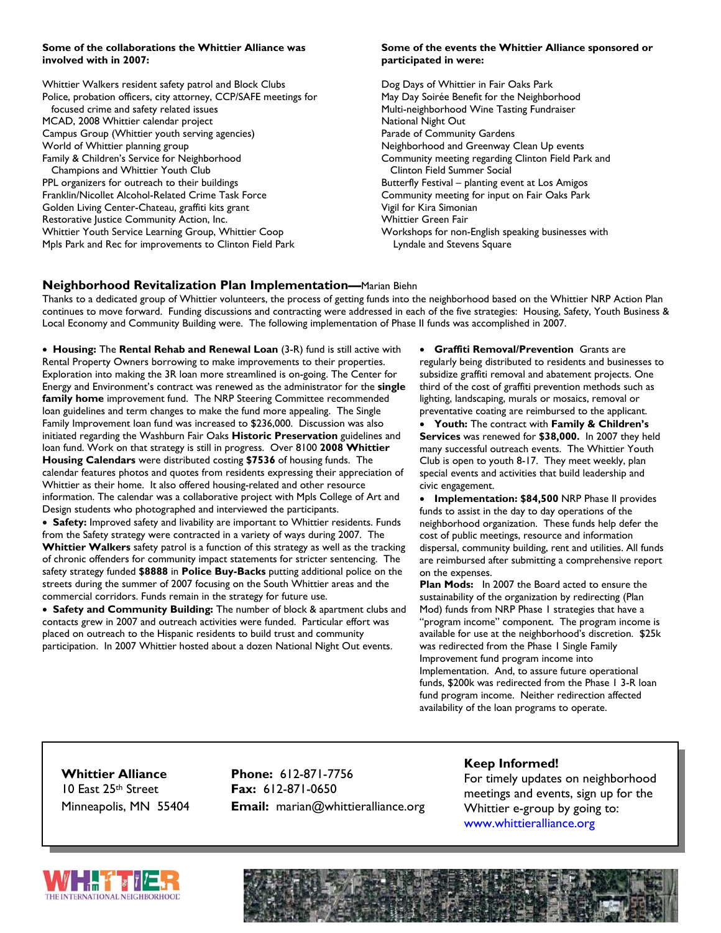#### **Some of the collaborations the Whittier Alliance was involved with in 2007:**

Whittier Walkers resident safety patrol and Block Clubs Police, probation officers, city attorney, CCP/SAFE meetings for focused crime and safety related issues MCAD, 2008 Whittier calendar project Campus Group (Whittier youth serving agencies) World of Whittier planning group Family & Children's Service for Neighborhood Champions and Whittier Youth Club PPL organizers for outreach to their buildings Franklin/Nicollet Alcohol-Related Crime Task Force Golden Living Center-Chateau, graffiti kits grant Restorative Justice Community Action, Inc. Whittier Youth Service Learning Group, Whittier Coop

Mpls Park and Rec for improvements to Clinton Field Park

#### **Some of the events the Whittier Alliance sponsored or participated in were:**

Dog Days of Whittier in Fair Oaks Park May Day Soirée Benefit for the Neighborhood Multi-neighborhood Wine Tasting Fundraiser National Night Out Parade of Community Gardens Neighborhood and Greenway Clean Up events Community meeting regarding Clinton Field Park and Clinton Field Summer Social Butterfly Festival – planting event at Los Amigos Community meeting for input on Fair Oaks Park Vigil for Kira Simonian Whittier Green Fair Workshops for non-English speaking businesses with Lyndale and Stevens Square

# **Neighborhood Revitalization Plan Implementation—**Marian Biehn

Thanks to a dedicated group of Whittier volunteers, the process of getting funds into the neighborhood based on the Whittier NRP Action Plan continues to move forward. Funding discussions and contracting were addressed in each of the five strategies: Housing, Safety, Youth Business & Local Economy and Community Building were. The following implementation of Phase II funds was accomplished in 2007.

 **Housing:** The **Rental Rehab and Renewal Loan** (3-R) fund is still active with Rental Property Owners borrowing to make improvements to their properties. Exploration into making the 3R loan more streamlined is on-going. The Center for Energy and Environment's contract was renewed as the administrator for the **single family home** improvement fund. The NRP Steering Committee recommended loan guidelines and term changes to make the fund more appealing. The Single Family Improvement loan fund was increased to \$236,000. Discussion was also initiated regarding the Washburn Fair Oaks **Historic Preservation** guidelines and loan fund. Work on that strategy is still in progress. Over 8100 **2008 Whittier Housing Calendars** were distributed costing **\$7536** of housing funds. The calendar features photos and quotes from residents expressing their appreciation of Whittier as their home. It also offered housing-related and other resource information. The calendar was a collaborative project with Mpls College of Art and Design students who photographed and interviewed the participants.

 **Safety:** Improved safety and livability are important to Whittier residents. Funds from the Safety strategy were contracted in a variety of ways during 2007. The **Whittier Walkers** safety patrol is a function of this strategy as well as the tracking of chronic offenders for community impact statements for stricter sentencing. The safety strategy funded **\$8888** in **Police Buy-Backs** putting additional police on the streets during the summer of 2007 focusing on the South Whittier areas and the commercial corridors. Funds remain in the strategy for future use.

 **Safety and Community Building:** The number of block & apartment clubs and contacts grew in 2007 and outreach activities were funded. Particular effort was placed on outreach to the Hispanic residents to build trust and community participation. In 2007 Whittier hosted about a dozen National Night Out events.

 **Graffiti Removal/Prevention** Grants are regularly being distributed to residents and businesses to subsidize graffiti removal and abatement projects. One third of the cost of graffiti prevention methods such as lighting, landscaping, murals or mosaics, removal or preventative coating are reimbursed to the applicant.

 **Youth:** The contract with **Family & Children's Services** was renewed for **\$38,000.** In 2007 they held many successful outreach events. The Whittier Youth Club is open to youth 8-17. They meet weekly, plan special events and activities that build leadership and civic engagement.

 **Implementation: \$84,500** NRP Phase II provides funds to assist in the day to day operations of the neighborhood organization. These funds help defer the cost of public meetings, resource and information dispersal, community building, rent and utilities. All funds are reimbursed after submitting a comprehensive report on the expenses.

**Plan Mods:** In 2007 the Board acted to ensure the sustainability of the organization by redirecting (Plan Mod) funds from NRP Phase 1 strategies that have a "program income" component. The program income is available for use at the neighborhood's discretion. \$25k was redirected from the Phase 1 Single Family Improvement fund program income into Implementation. And, to assure future operational funds, \$200k was redirected from the Phase 1 3-R loan fund program income. Neither redirection affected availability of the loan programs to operate.

**Whittier Alliance**  10 East 25th Street Minneapolis, MN 55404 **Phone:** 612-871-7756 **Fax:** 612-871-0650 **Email:** marian@whittieralliance.org

# **Keep Informed!**

For timely updates on neighborhood meetings and events, sign up for the Whittier e-group by going to: www.whittieralliance.org



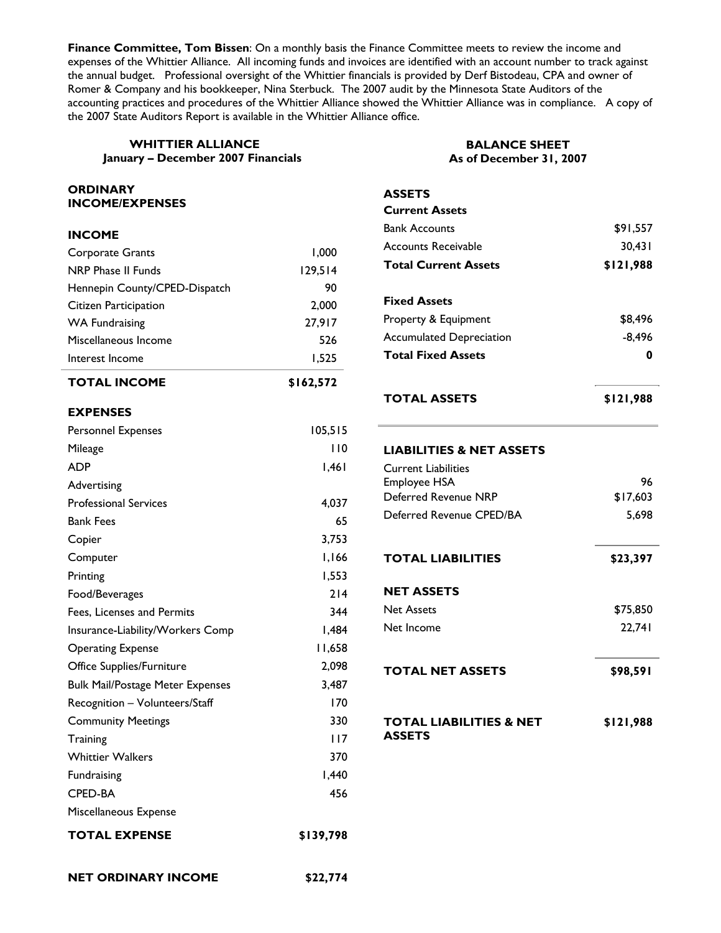**Finance Committee, Tom Bissen**: On a monthly basis the Finance Committee meets to review the income and expenses of the Whittier Alliance. All incoming funds and invoices are identified with an account number to track against the annual budget. Professional oversight of the Whittier financials is provided by Derf Bistodeau, CPA and owner of Romer & Company and his bookkeeper, Nina Sterbuck. The 2007 audit by the Minnesota State Auditors of the accounting practices and procedures of the Whittier Alliance showed the Whittier Alliance was in compliance. A copy of the 2007 State Auditors Report is available in the Whittier Alliance office.

**TOTAL LIABILITIES \$23,397**

\$98,591

| <b>WHITTIER ALLIANCE</b><br>January - December 2007 Financials |           | <b>BALANCE SHEET</b><br>As of December 31, 2007 |                 |
|----------------------------------------------------------------|-----------|-------------------------------------------------|-----------------|
| <b>ORDINARY</b>                                                |           | <b>ASSETS</b>                                   |                 |
| <b>INCOME/EXPENSES</b>                                         |           | <b>Current Assets</b>                           |                 |
| <b>INCOME</b>                                                  |           | <b>Bank Accounts</b>                            | \$91,557        |
| Corporate Grants                                               | 1,000     | <b>Accounts Receivable</b>                      | 30,431          |
| <b>NRP Phase II Funds</b>                                      | 129,514   | <b>Total Current Assets</b>                     | \$121,988       |
| Hennepin County/CPED-Dispatch                                  | 90        |                                                 |                 |
| Citizen Participation                                          | 2,000     | <b>Fixed Assets</b>                             |                 |
| <b>WA Fundraising</b>                                          | 27,917    | Property & Equipment                            | \$8,496         |
| Miscellaneous Income                                           | 526       | <b>Accumulated Depreciation</b>                 | $-8,496$        |
| Interest Income                                                | 1,525     | <b>Total Fixed Assets</b>                       | 0               |
| <b>TOTAL INCOME</b>                                            | \$162,572 |                                                 |                 |
| <b>EXPENSES</b>                                                |           | <b>TOTAL ASSETS</b>                             | \$121,988       |
| Personnel Expenses                                             | 105,515   |                                                 |                 |
| Mileage                                                        | 110       | <b>LIABILITIES &amp; NET ASSETS</b>             |                 |
| <b>ADP</b>                                                     | 1,461     | <b>Current Liabilities</b>                      |                 |
| Advertising                                                    |           | Employee HSA                                    | 96              |
| <b>Professional Services</b>                                   | 4,037     | Deferred Revenue NRP                            | \$17,603        |
| <b>Bank Fees</b>                                               | 65        | Deferred Revenue CPED/BA                        | 5,698           |
| Copier                                                         | 3,753     |                                                 |                 |
| Computer                                                       | 1,166     | <b>TOTAL LIABILITIES</b>                        | \$23,397        |
| Printing                                                       | 1,553     |                                                 |                 |
| Food/Beverages                                                 | 214       | <b>NET ASSETS</b>                               |                 |
| Fees, Licenses and Permits                                     | 344       | <b>Net Assets</b>                               | \$75,850        |
| Insurance-Liability/Workers Comp                               | 1,484     | Net Income                                      | 22,741          |
| <b>Operating Expense</b>                                       | 11,658    |                                                 |                 |
| Office Supplies/Furniture                                      | 2,098     | TOTAL NET ASSETS                                | <b>\$98,591</b> |
| <b>Bulk Mail/Postage Meter Expenses</b>                        | 3,487     |                                                 |                 |
| Recognition - Volunteers/Staff                                 | 170       |                                                 |                 |
| <b>Community Meetings</b>                                      | 330       | <b>TOTAL LIABILITIES &amp; NET</b>              | \$121,988       |
| Training                                                       | 117       | <b>ASSETS</b>                                   |                 |
| <b>Whittier Walkers</b>                                        | 370       |                                                 |                 |
| Fundraising                                                    | 1,440     |                                                 |                 |
| CPED-BA                                                        | 456       |                                                 |                 |
| Miscellaneous Expense                                          |           |                                                 |                 |
| <b>TOTAL EXPENSE</b>                                           | \$139,798 |                                                 |                 |